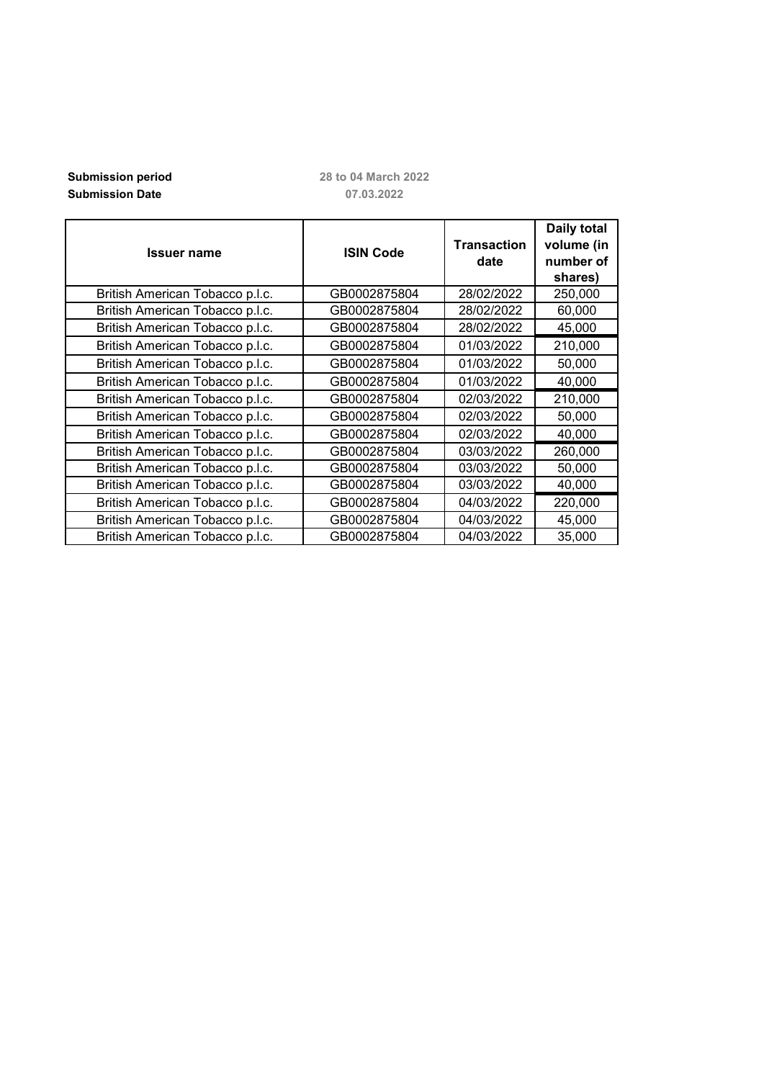## **Submission period**<br> **Submission Date**<br> **28 to 04 March 2022**<br> **28 to 07.03.2022 Submission Date**

| <b>Issuer name</b>              | <b>ISIN Code</b> | <b>Transaction</b><br>date | <b>Daily total</b><br>volume (in<br>number of<br>shares) |
|---------------------------------|------------------|----------------------------|----------------------------------------------------------|
| British American Tobacco p.l.c. | GB0002875804     | 28/02/2022                 | 250,000                                                  |
| British American Tobacco p.l.c. | GB0002875804     | 28/02/2022                 | 60,000                                                   |
| British American Tobacco p.l.c. | GB0002875804     | 28/02/2022                 | 45,000                                                   |
| British American Tobacco p.l.c. | GB0002875804     | 01/03/2022                 | 210,000                                                  |
| British American Tobacco p.l.c. | GB0002875804     | 01/03/2022                 | 50,000                                                   |
| British American Tobacco p.l.c. | GB0002875804     | 01/03/2022                 | 40,000                                                   |
| British American Tobacco p.l.c. | GB0002875804     | 02/03/2022                 | 210,000                                                  |
| British American Tobacco p.l.c. | GB0002875804     | 02/03/2022                 | 50,000                                                   |
| British American Tobacco p.l.c. | GB0002875804     | 02/03/2022                 | 40,000                                                   |
| British American Tobacco p.l.c. | GB0002875804     | 03/03/2022                 | 260,000                                                  |
| British American Tobacco p.l.c. | GB0002875804     | 03/03/2022                 | 50,000                                                   |
| British American Tobacco p.l.c. | GB0002875804     | 03/03/2022                 | 40,000                                                   |
| British American Tobacco p.l.c. | GB0002875804     | 04/03/2022                 | 220,000                                                  |
| British American Tobacco p.l.c. | GB0002875804     | 04/03/2022                 | 45,000                                                   |
| British American Tobacco p.l.c. | GB0002875804     | 04/03/2022                 | 35,000                                                   |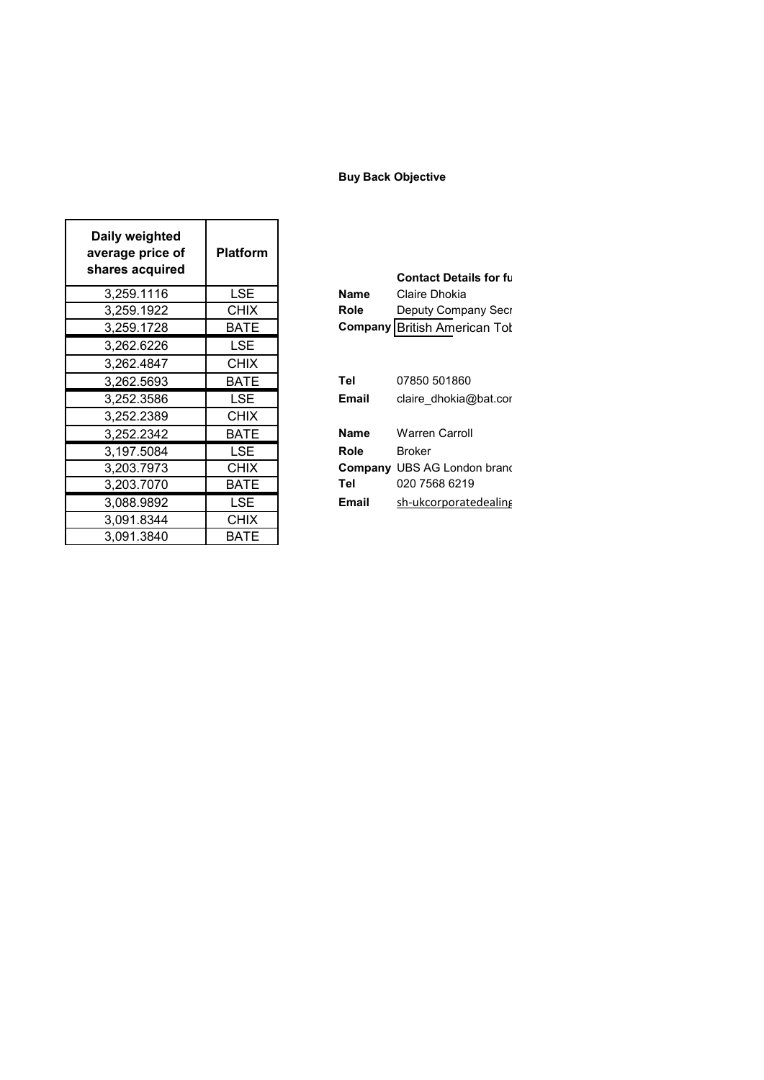## **Buy Back Objective**

| Daily weighted<br>average price of<br>shares acquired | <b>Platform</b> |             | <b>Contact Detail</b>         |
|-------------------------------------------------------|-----------------|-------------|-------------------------------|
| 3,259.1116                                            | LSE.            | <b>Name</b> | Claire Dhokia                 |
| 3,259.1922                                            | <b>CHIX</b>     | <b>Role</b> | Deputy Compa                  |
| 3,259.1728                                            | <b>BATE</b>     |             | <b>Company British Americ</b> |
| 3,262.6226                                            | <b>LSE</b>      |             |                               |
| 3,262.4847                                            | <b>CHIX</b>     |             |                               |
| 3,262.5693                                            | BATE            | <b>Tel</b>  | 07850 501860                  |
| 3,252.3586                                            | LSE.            | Email       | claire_dhokia@                |
| 3,252.2389                                            | <b>CHIX</b>     |             |                               |
| 3,252.2342                                            | BATE            | <b>Name</b> | <b>Warren Carroll</b>         |
| 3,197.5084                                            | <b>LSE</b>      | <b>Role</b> | <b>Broker</b>                 |
| 3,203.7973                                            | <b>CHIX</b>     |             | <b>Company UBS AG Londo</b>   |
| 3,203.7070                                            | <b>BATE</b>     | Tel         | 020 7568 6219                 |
| 3,088.9892                                            | LSE.            | Email       | sh-ukcorporate                |
| 3,091.8344                                            | <b>CHIX</b>     |             |                               |
| 3,091.3840                                            | BATE            |             |                               |

| ~~~~~~~~~~ |             |              | <b>Contact Details for full</b>     |
|------------|-------------|--------------|-------------------------------------|
| 3,259.1116 | LSE.        | <b>Name</b>  | Claire Dhokia                       |
| 3,259.1922 | <b>CHIX</b> | <b>Role</b>  | Deputy Company Secr                 |
| 3,259.1728 | BATE        |              | <b>Company British American Tol</b> |
| 3,262.6226 | LSE         |              |                                     |
| 3,262.4847 | <b>CHIX</b> |              |                                     |
| 3,262.5693 | <b>BATE</b> | Tel          | 07850 501860                        |
| 3,252.3586 | LSE.        | <b>Email</b> | claire dhokia@bat.cor               |
| 3,252.2389 | <b>CHIX</b> |              |                                     |
| 3,252.2342 | <b>BATE</b> | <b>Name</b>  | <b>Warren Carroll</b>               |
| 3,197.5084 | LSE.        | Role         | <b>Broker</b>                       |
| 3,203.7973 | <b>CHIX</b> |              | <b>Company UBS AG London brand</b>  |
| 3,203.7070 | <b>BATE</b> | Tel          | 020 7568 6219                       |
| 3,088.9892 | LSE         | <b>Email</b> | sh-ukcorporatedealing               |
|            |             |              |                                     |